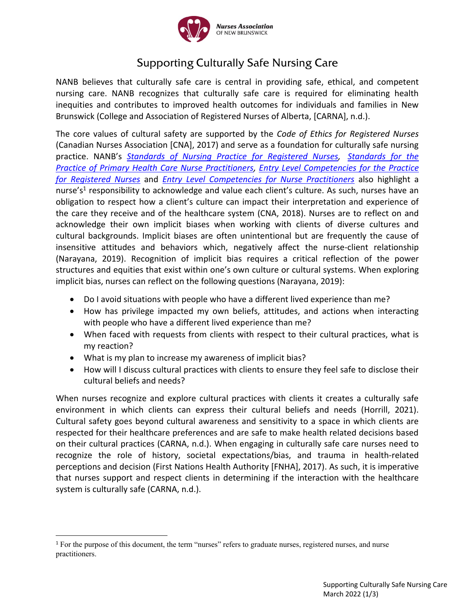

## **Supporting Culturally Safe Nursing Care**

NANB believes that culturally safe care is central in providing safe, ethical, and competent nursing care. NANB recognizes that culturally safe care is required for eliminating health inequities and contributes to improved health outcomes for individuals and families in New Brunswick (College and Association of Registered Nurses of Alberta, [CARNA], n.d.).

The core values of cultural safety are supported by the *Code of Ethics for Registered Nurses* (Canadian Nurses Association [CNA], 2017) and serve as a foundation for culturally safe nursing practice. NANB's *[Standards of Nursing Practice](http://www.nanb.nb.ca/media/resource/NANB2019-RNPracticeStandards-E-web.pdf) for Registered Nurses, [Standards for the](http://www.nanb.nb.ca/media/resource/NANB-NPStandards-Dec2018-E.pdf)  [Practice of Primary Health Care Nurse Practitioners,](http://www.nanb.nb.ca/media/resource/NANB-NPStandards-Dec2018-E.pdf) [Entry Level Competencies for the Practice](http://www.nanb.nb.ca/media/resource/NANB-ELC-Mar19-ENGLISH.pdf)  [for Registered Nurses](http://www.nanb.nb.ca/media/resource/NANB-ELC-Mar19-ENGLISH.pdf)* and *[Entry Level Competencies for Nurse Practitioners](http://www.nanb.nb.ca/media/resource/NANB-EntryLevelCompetenciesNP-October2016-E.pdf)* also highlight a nurse's<sup>1</sup> responsibility to acknowledge and value each client's culture. As such, nurses have an obligation to respect how a client's culture can impact their interpretation and experience of the care they receive and of the healthcare system (CNA, 2018). Nurses are to reflect on and acknowledge their own implicit biases when working with clients of diverse cultures and cultural backgrounds. Implicit biases are often unintentional but are frequently the cause of insensitive attitudes and behaviors which, negatively affect the nurse-client relationship (Narayana, 2019). Recognition of implicit bias requires a critical reflection of the power structures and equities that exist within one's own culture or cultural systems. When exploring implicit bias, nurses can reflect on the following questions (Narayana, 2019):

- Do I avoid situations with people who have a different lived experience than me?
- How has privilege impacted my own beliefs, attitudes, and actions when interacting with people who have a different lived experience than me?
- When faced with requests from clients with respect to their cultural practices, what is my reaction?
- What is my plan to increase my awareness of implicit bias?
- How will I discuss cultural practices with clients to ensure they feel safe to disclose their cultural beliefs and needs?

When nurses recognize and explore cultural practices with clients it creates a culturally safe environment in which clients can express their cultural beliefs and needs (Horrill, 2021). Cultural safety goes beyond cultural awareness and sensitivity to a space in which clients are respected for their healthcare preferences and are safe to make health related decisions based on their cultural practices (CARNA, n.d.). When engaging in culturally safe care nurses need to recognize the role of history, societal expectations/bias, and trauma in health-related perceptions and decision (First Nations Health Authority [FNHA], 2017). As such, it is imperative that nurses support and respect clients in determining if the interaction with the healthcare system is culturally safe (CARNA, n.d.).

<sup>&</sup>lt;sup>1</sup> For the purpose of this document, the term "nurses" refers to graduate nurses, registered nurses, and nurse practitioners.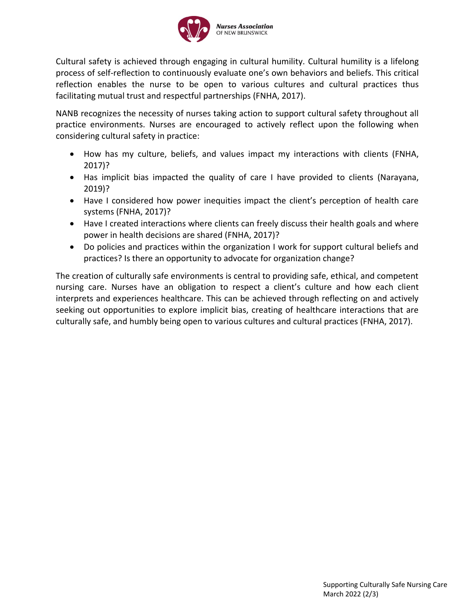

Cultural safety is achieved through engaging in cultural humility. Cultural humility is a lifelong process of self-reflection to continuously evaluate one's own behaviors and beliefs. This critical reflection enables the nurse to be open to various cultures and cultural practices thus facilitating mutual trust and respectful partnerships (FNHA, 2017).

NANB recognizes the necessity of nurses taking action to support cultural safety throughout all practice environments. Nurses are encouraged to actively reflect upon the following when considering cultural safety in practice:

- How has my culture, beliefs, and values impact my interactions with clients (FNHA, 2017)?
- Has implicit bias impacted the quality of care I have provided to clients (Narayana, 2019)?
- Have I considered how power inequities impact the client's perception of health care systems (FNHA, 2017)?
- Have I created interactions where clients can freely discuss their health goals and where power in health decisions are shared (FNHA, 2017)?
- Do policies and practices within the organization I work for support cultural beliefs and practices? Is there an opportunity to advocate for organization change?

The creation of culturally safe environments is central to providing safe, ethical, and competent nursing care. Nurses have an obligation to respect a client's culture and how each client interprets and experiences healthcare. This can be achieved through reflecting on and actively seeking out opportunities to explore implicit bias, creating of healthcare interactions that are culturally safe, and humbly being open to various cultures and cultural practices (FNHA, 2017).